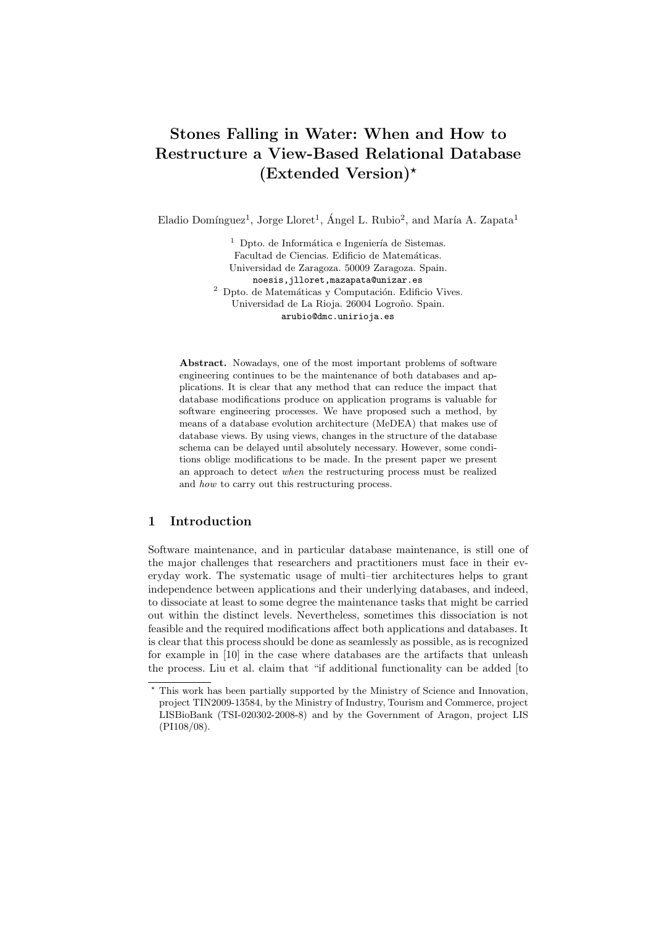# Stones Falling in Water: When and How to Restructure a View-Based Relational Database  $(Extended Version)^*$

Eladio Domínguez<sup>1</sup>, Jorge Lloret<sup>1</sup>, Ángel L. Rubio<sup>2</sup>, and María A. Zapata<sup>1</sup>

 $<sup>1</sup>$  Dpto. de Informática e Ingeniería de Sistemas.</sup> Facultad de Ciencias. Edificio de Matemáticas. Universidad de Zaragoza. 50009 Zaragoza. Spain. noesis,jlloret,mazapata@unizar.es  $^{\rm 2}$  Dpto. de Matemáticas y Computación. Edificio Vives. Universidad de La Rioja. 26004 Logroño. Spain. arubio@dmc.unirioja.es

Abstract. Nowadays, one of the most important problems of software engineering continues to be the maintenance of both databases and applications. It is clear that any method that can reduce the impact that database modifications produce on application programs is valuable for software engineering processes. We have proposed such a method, by means of a database evolution architecture (MeDEA) that makes use of database views. By using views, changes in the structure of the database schema can be delayed until absolutely necessary. However, some conditions oblige modifications to be made. In the present paper we present an approach to detect when the restructuring process must be realized and how to carry out this restructuring process.

# 1 Introduction

Software maintenance, and in particular database maintenance, is still one of the major challenges that researchers and practitioners must face in their everyday work. The systematic usage of multi–tier architectures helps to grant independence between applications and their underlying databases, and indeed, to dissociate at least to some degree the maintenance tasks that might be carried out within the distinct levels. Nevertheless, sometimes this dissociation is not feasible and the required modifications affect both applications and databases. It is clear that this process should be done as seamlessly as possible, as is recognized for example in [10] in the case where databases are the artifacts that unleash the process. Liu et al. claim that "if additional functionality can be added [to

<sup>⋆</sup> This work has been partially supported by the Ministry of Science and Innovation, project TIN2009-13584, by the Ministry of Industry, Tourism and Commerce, project LISBioBank (TSI-020302-2008-8) and by the Government of Aragon, project LIS (PI108/08).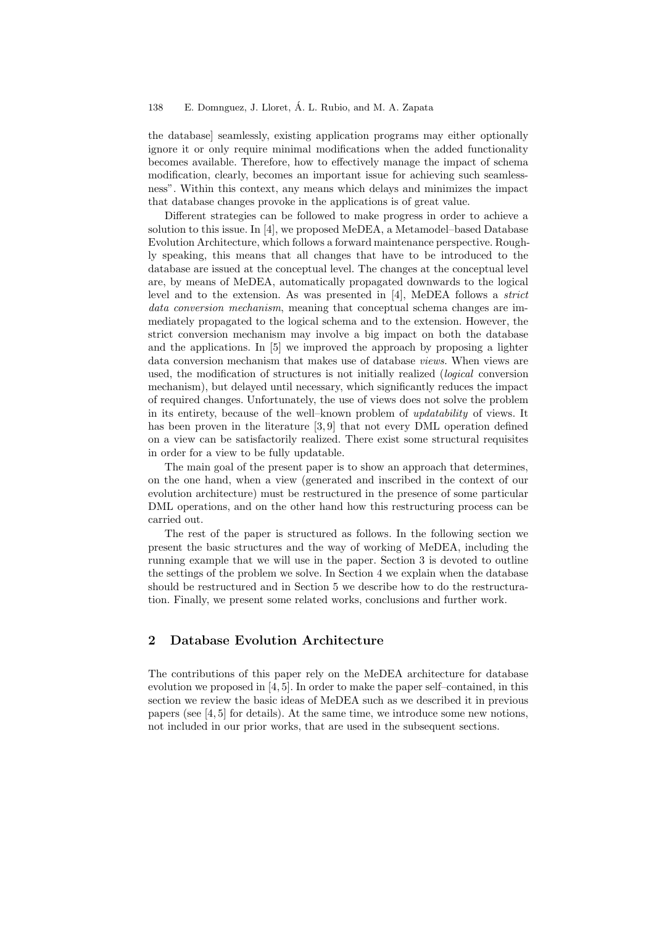the database] seamlessly, existing application programs may either optionally ignore it or only require minimal modifications when the added functionality becomes available. Therefore, how to effectively manage the impact of schema modification, clearly, becomes an important issue for achieving such seamlessness". Within this context, any means which delays and minimizes the impact that database changes provoke in the applications is of great value.

Different strategies can be followed to make progress in order to achieve a solution to this issue. In [4], we proposed MeDEA, a Metamodel–based Database Evolution Architecture, which follows a forward maintenance perspective. Roughly speaking, this means that all changes that have to be introduced to the database are issued at the conceptual level. The changes at the conceptual level are, by means of MeDEA, automatically propagated downwards to the logical level and to the extension. As was presented in  $[4]$ , MeDEA follows a *strict* data conversion mechanism, meaning that conceptual schema changes are immediately propagated to the logical schema and to the extension. However, the strict conversion mechanism may involve a big impact on both the database and the applications. In [5] we improved the approach by proposing a lighter data conversion mechanism that makes use of database views. When views are used, the modification of structures is not initially realized (logical conversion mechanism), but delayed until necessary, which significantly reduces the impact of required changes. Unfortunately, the use of views does not solve the problem in its entirety, because of the well–known problem of updatability of views. It has been proven in the literature [3, 9] that not every DML operation defined on a view can be satisfactorily realized. There exist some structural requisites in order for a view to be fully updatable.

The main goal of the present paper is to show an approach that determines, on the one hand, when a view (generated and inscribed in the context of our evolution architecture) must be restructured in the presence of some particular DML operations, and on the other hand how this restructuring process can be carried out.

The rest of the paper is structured as follows. In the following section we present the basic structures and the way of working of MeDEA, including the running example that we will use in the paper. Section 3 is devoted to outline the settings of the problem we solve. In Section 4 we explain when the database should be restructured and in Section 5 we describe how to do the restructuration. Finally, we present some related works, conclusions and further work.

# 2 Database Evolution Architecture

The contributions of this paper rely on the MeDEA architecture for database evolution we proposed in [4, 5]. In order to make the paper self–contained, in this section we review the basic ideas of MeDEA such as we described it in previous papers (see [4, 5] for details). At the same time, we introduce some new notions, not included in our prior works, that are used in the subsequent sections.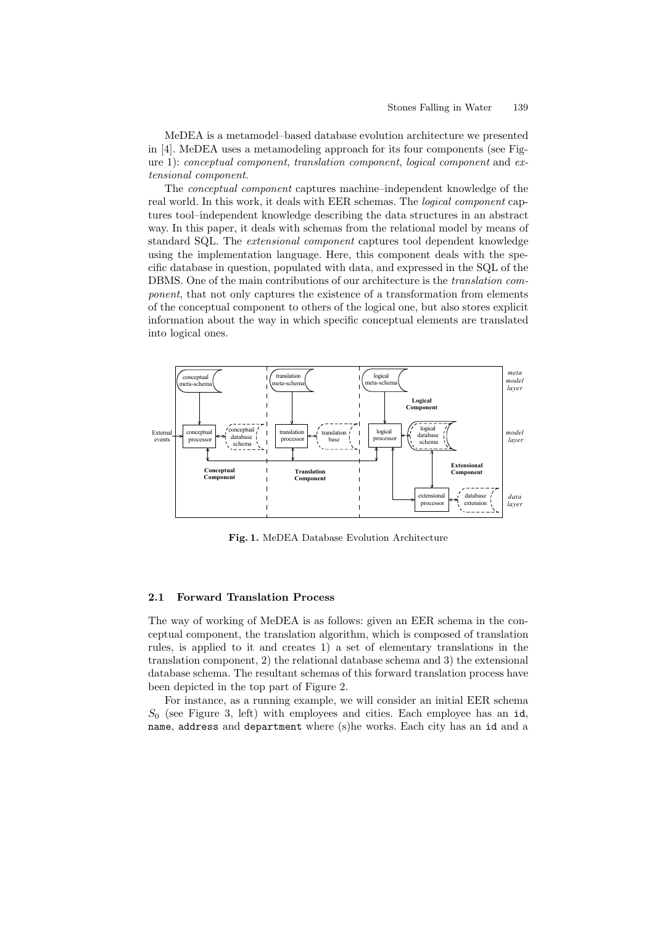MeDEA is a metamodel–based database evolution architecture we presented in [4]. MeDEA uses a metamodeling approach for its four components (see Figure 1): conceptual component, translation component, logical component and extensional component.

The conceptual component captures machine–independent knowledge of the real world. In this work, it deals with EER schemas. The logical component captures tool–independent knowledge describing the data structures in an abstract way. In this paper, it deals with schemas from the relational model by means of standard SQL. The extensional component captures tool dependent knowledge using the implementation language. Here, this component deals with the specific database in question, populated with data, and expressed in the SQL of the DBMS. One of the main contributions of our architecture is the translation component, that not only captures the existence of a transformation from elements of the conceptual component to others of the logical one, but also stores explicit information about the way in which specific conceptual elements are translated into logical ones.



Fig. 1. MeDEA Database Evolution Architecture

## 2.1 Forward Translation Process

The way of working of MeDEA is as follows: given an EER schema in the conceptual component, the translation algorithm, which is composed of translation rules, is applied to it and creates 1) a set of elementary translations in the translation component, 2) the relational database schema and 3) the extensional database schema. The resultant schemas of this forward translation process have been depicted in the top part of Figure 2.

For instance, as a running example, we will consider an initial EER schema  $S_0$  (see Figure 3, left) with employees and cities. Each employee has an id, name, address and department where (s)he works. Each city has an id and a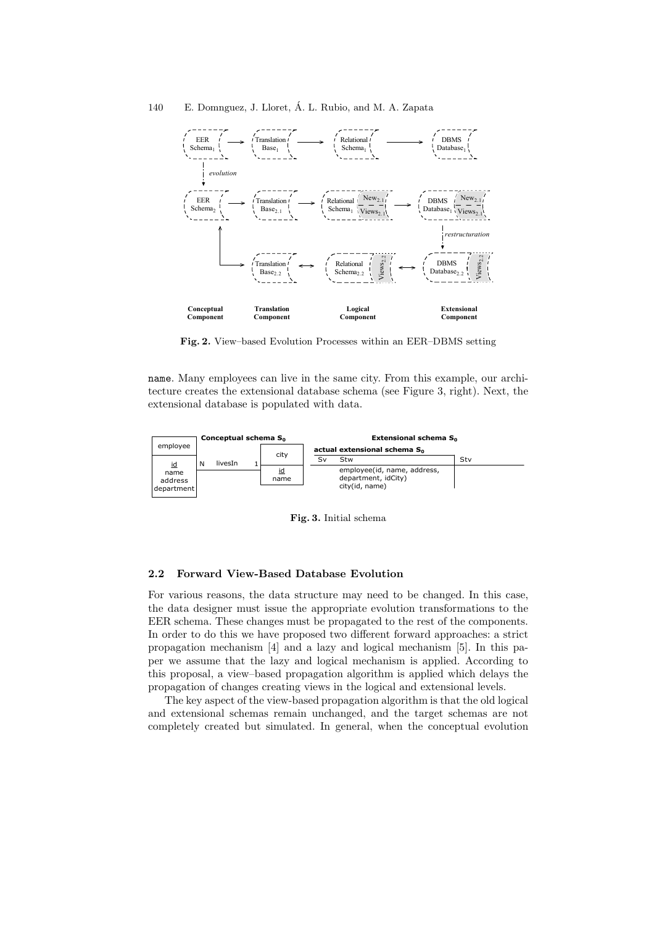

Fig. 2. View–based Evolution Processes within an EER–DBMS setting

name. Many employees can live in the same city. From this example, our architecture creates the extensional database schema (see Figure 3, right). Next, the extensional database is populated with data.



Fig. 3. Initial schema

## 2.2 Forward View-Based Database Evolution

For various reasons, the data structure may need to be changed. In this case, the data designer must issue the appropriate evolution transformations to the EER schema. These changes must be propagated to the rest of the components. In order to do this we have proposed two different forward approaches: a strict propagation mechanism [4] and a lazy and logical mechanism [5]. In this paper we assume that the lazy and logical mechanism is applied. According to this proposal, a view–based propagation algorithm is applied which delays the propagation of changes creating views in the logical and extensional levels.

The key aspect of the view-based propagation algorithm is that the old logical and extensional schemas remain unchanged, and the target schemas are not completely created but simulated. In general, when the conceptual evolution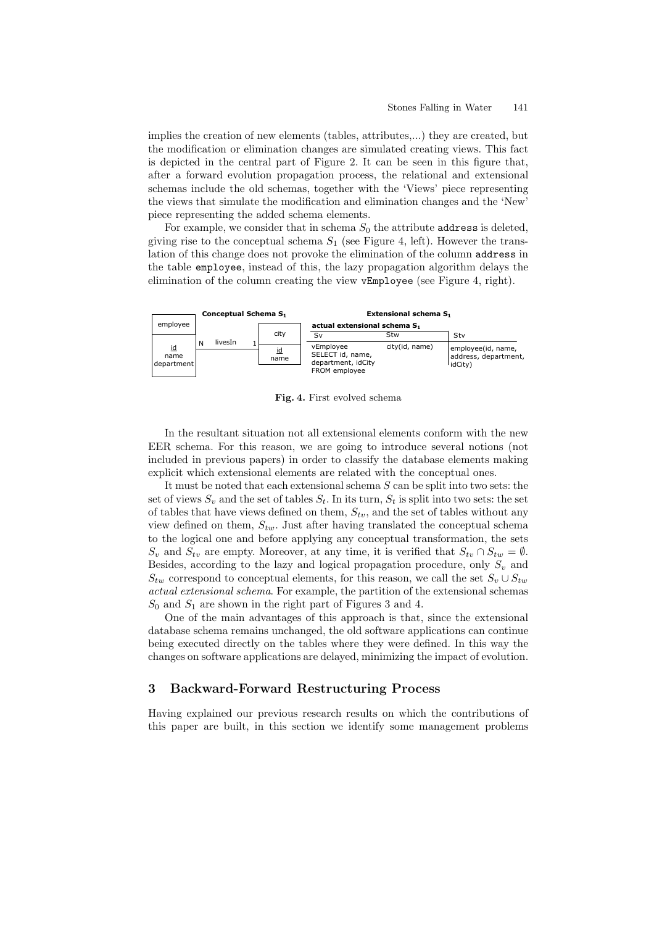implies the creation of new elements (tables, attributes,...) they are created, but the modification or elimination changes are simulated creating views. This fact is depicted in the central part of Figure 2. It can be seen in this figure that, after a forward evolution propagation process, the relational and extensional schemas include the old schemas, together with the 'Views' piece representing the views that simulate the modification and elimination changes and the 'New' piece representing the added schema elements.

For example, we consider that in schema  $S_0$  the attribute address is deleted, giving rise to the conceptual schema  $S_1$  (see Figure 4, left). However the translation of this change does not provoke the elimination of the column address in the table employee, instead of this, the lazy propagation algorithm delays the elimination of the column creating the view vEmployee (see Figure 4, right).



Fig. 4. First evolved schema

In the resultant situation not all extensional elements conform with the new EER schema. For this reason, we are going to introduce several notions (not included in previous papers) in order to classify the database elements making explicit which extensional elements are related with the conceptual ones.

It must be noted that each extensional schema S can be split into two sets: the set of views  $S_v$  and the set of tables  $S_t$ . In its turn,  $S_t$  is split into two sets: the set of tables that have views defined on them,  $S_{tv}$ , and the set of tables without any view defined on them,  $S_{tw}$ . Just after having translated the conceptual schema to the logical one and before applying any conceptual transformation, the sets  $S_v$  and  $S_{tv}$  are empty. Moreover, at any time, it is verified that  $S_{tv} \cap S_{tw} = \emptyset$ . Besides, according to the lazy and logical propagation procedure, only  $S_v$  and  $S_{tw}$  correspond to conceptual elements, for this reason, we call the set  $S_v \cup S_{tw}$ actual extensional schema. For example, the partition of the extensional schemas  $S_0$  and  $S_1$  are shown in the right part of Figures 3 and 4.

One of the main advantages of this approach is that, since the extensional database schema remains unchanged, the old software applications can continue being executed directly on the tables where they were defined. In this way the changes on software applications are delayed, minimizing the impact of evolution.

## 3 Backward-Forward Restructuring Process

Having explained our previous research results on which the contributions of this paper are built, in this section we identify some management problems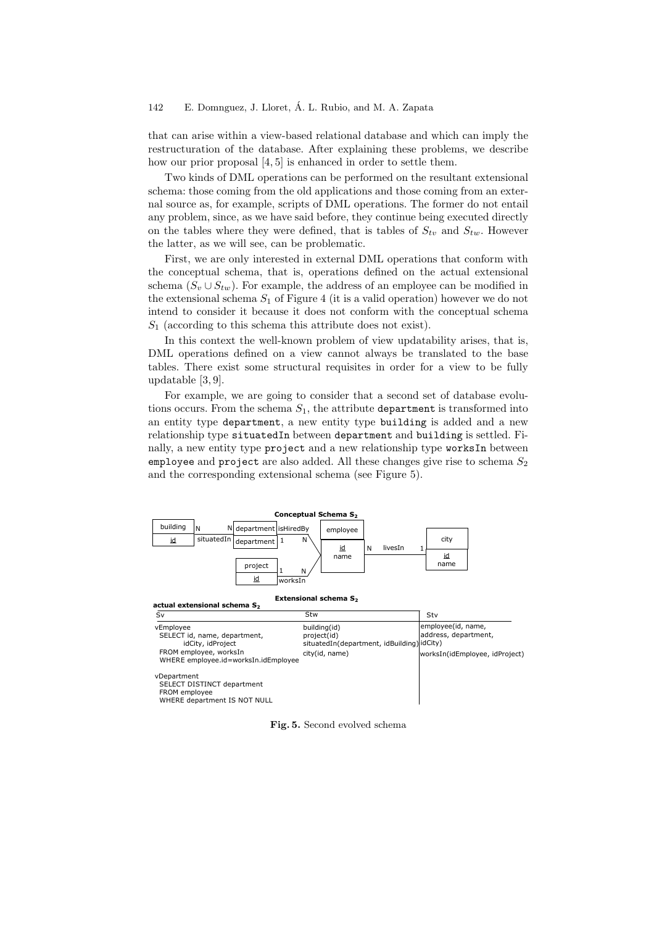that can arise within a view-based relational database and which can imply the restructuration of the database. After explaining these problems, we describe how our prior proposal [4, 5] is enhanced in order to settle them.

Two kinds of DML operations can be performed on the resultant extensional schema: those coming from the old applications and those coming from an external source as, for example, scripts of DML operations. The former do not entail any problem, since, as we have said before, they continue being executed directly on the tables where they were defined, that is tables of  $S_{tv}$  and  $S_{tw}$ . However the latter, as we will see, can be problematic.

First, we are only interested in external DML operations that conform with the conceptual schema, that is, operations defined on the actual extensional schema  $(S_v \cup S_{tw})$ . For example, the address of an employee can be modified in the extensional schema  $S_1$  of Figure 4 (it is a valid operation) however we do not intend to consider it because it does not conform with the conceptual schema  $S_1$  (according to this schema this attribute does not exist).

In this context the well-known problem of view updatability arises, that is, DML operations defined on a view cannot always be translated to the base tables. There exist some structural requisites in order for a view to be fully updatable [3, 9].

For example, we are going to consider that a second set of database evolutions occurs. From the schema  $S_1$ , the attribute department is transformed into an entity type department, a new entity type building is added and a new relationship type situatedIn between department and building is settled. Finally, a new entity type project and a new relationship type worksIn between employee and project are also added. All these changes give rise to schema  $S_2$ and the corresponding extensional schema (see Figure 5).



Fig. 5. Second evolved schema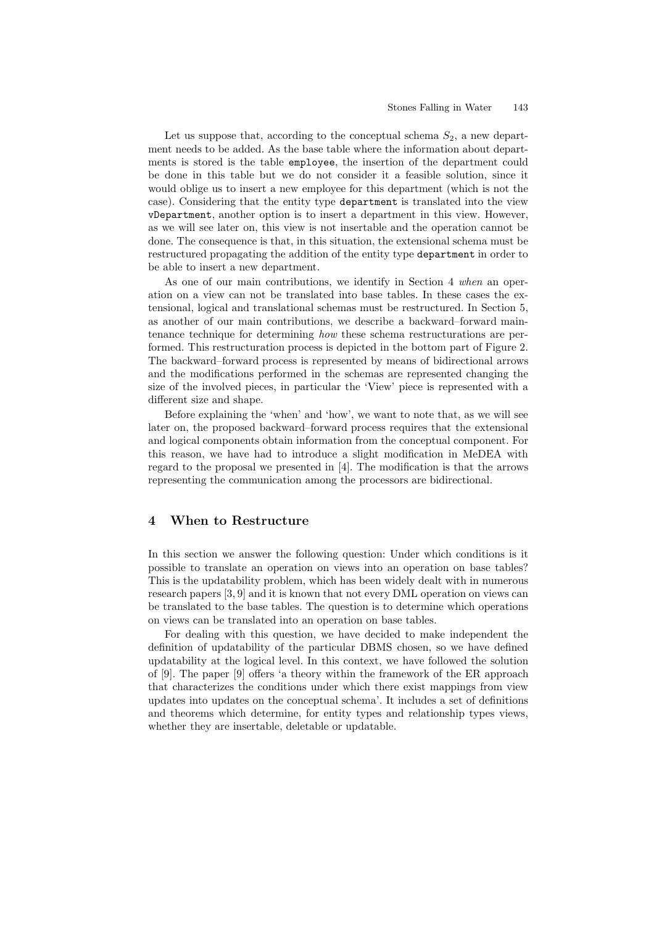Let us suppose that, according to the conceptual schema  $S_2$ , a new department needs to be added. As the base table where the information about departments is stored is the table employee, the insertion of the department could be done in this table but we do not consider it a feasible solution, since it would oblige us to insert a new employee for this department (which is not the case). Considering that the entity type department is translated into the view vDepartment, another option is to insert a department in this view. However, as we will see later on, this view is not insertable and the operation cannot be done. The consequence is that, in this situation, the extensional schema must be restructured propagating the addition of the entity type department in order to be able to insert a new department.

As one of our main contributions, we identify in Section 4 when an operation on a view can not be translated into base tables. In these cases the extensional, logical and translational schemas must be restructured. In Section 5, as another of our main contributions, we describe a backward–forward maintenance technique for determining how these schema restructurations are performed. This restructuration process is depicted in the bottom part of Figure 2. The backward–forward process is represented by means of bidirectional arrows and the modifications performed in the schemas are represented changing the size of the involved pieces, in particular the 'View' piece is represented with a different size and shape.

Before explaining the 'when' and 'how', we want to note that, as we will see later on, the proposed backward–forward process requires that the extensional and logical components obtain information from the conceptual component. For this reason, we have had to introduce a slight modification in MeDEA with regard to the proposal we presented in [4]. The modification is that the arrows representing the communication among the processors are bidirectional.

## 4 When to Restructure

In this section we answer the following question: Under which conditions is it possible to translate an operation on views into an operation on base tables? This is the updatability problem, which has been widely dealt with in numerous research papers [3, 9] and it is known that not every DML operation on views can be translated to the base tables. The question is to determine which operations on views can be translated into an operation on base tables.

For dealing with this question, we have decided to make independent the definition of updatability of the particular DBMS chosen, so we have defined updatability at the logical level. In this context, we have followed the solution of [9]. The paper [9] offers 'a theory within the framework of the ER approach that characterizes the conditions under which there exist mappings from view updates into updates on the conceptual schema'. It includes a set of definitions and theorems which determine, for entity types and relationship types views, whether they are insertable, deletable or updatable.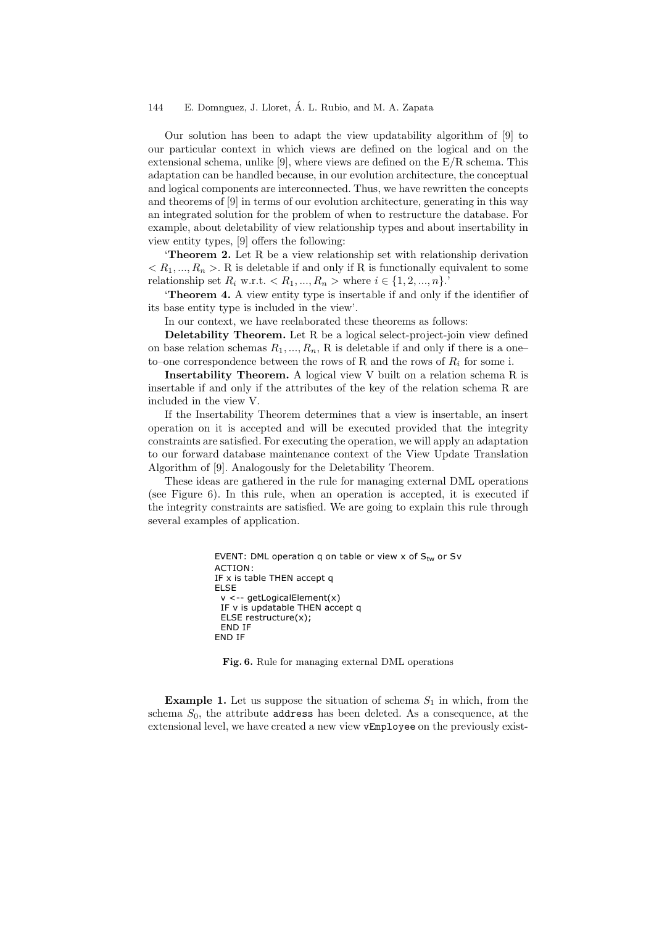Our solution has been to adapt the view updatability algorithm of [9] to our particular context in which views are defined on the logical and on the extensional schema, unlike [9], where views are defined on the  $E/R$  schema. This adaptation can be handled because, in our evolution architecture, the conceptual and logical components are interconnected. Thus, we have rewritten the concepts and theorems of [9] in terms of our evolution architecture, generating in this way an integrated solution for the problem of when to restructure the database. For example, about deletability of view relationship types and about insertability in view entity types, [9] offers the following:

'Theorem 2. Let R be a view relationship set with relationship derivation  $\langle R_1,...,R_n\rangle$ . R is deletable if and only if R is functionally equivalent to some relationship set  $R_i$  w.r.t.  $\langle R_1, ..., R_n \rangle$  where  $i \in \{1, 2, ..., n\}$ .

'Theorem 4. A view entity type is insertable if and only if the identifier of its base entity type is included in the view'.

In our context, we have reelaborated these theorems as follows:

Deletability Theorem. Let R be a logical select-project-join view defined on base relation schemas  $R_1, ..., R_n$ , R is deletable if and only if there is a oneto–one correspondence between the rows of R and the rows of  $R_i$  for some i.

Insertability Theorem. A logical view V built on a relation schema R is insertable if and only if the attributes of the key of the relation schema R are included in the view V.

If the Insertability Theorem determines that a view is insertable, an insert operation on it is accepted and will be executed provided that the integrity constraints are satisfied. For executing the operation, we will apply an adaptation to our forward database maintenance context of the View Update Translation Algorithm of [9]. Analogously for the Deletability Theorem.

These ideas are gathered in the rule for managing external DML operations (see Figure 6). In this rule, when an operation is accepted, it is executed if the integrity constraints are satisfied. We are going to explain this rule through several examples of application.

```
EVENT: DML operation q on table or view x of S_{tw} or Sv
ACTION:
IF x is table THEN accept q
ELSE
  v <-- getLogicalElement(x)
  IF v is updatable THEN accept q
  ELSE restructure(x);
  END IF
END IF
```
Fig. 6. Rule for managing external DML operations

**Example 1.** Let us suppose the situation of schema  $S_1$  in which, from the schema  $S_0$ , the attribute address has been deleted. As a consequence, at the extensional level, we have created a new view vEmployee on the previously exist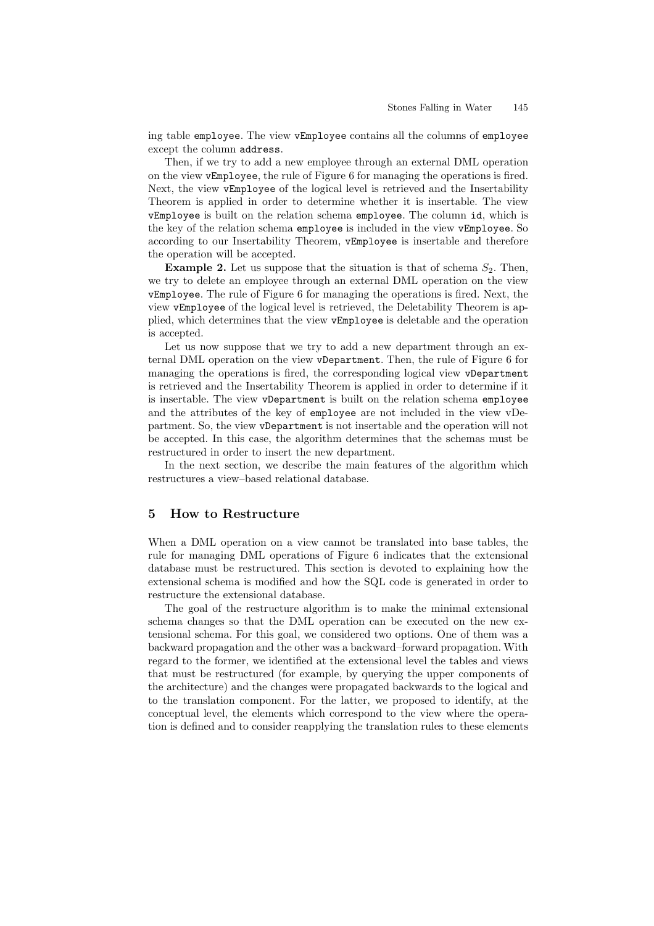ing table employee. The view vEmployee contains all the columns of employee except the column address.

Then, if we try to add a new employee through an external DML operation on the view vEmployee, the rule of Figure 6 for managing the operations is fired. Next, the view vEmployee of the logical level is retrieved and the Insertability Theorem is applied in order to determine whether it is insertable. The view vEmployee is built on the relation schema employee. The column id, which is the key of the relation schema employee is included in the view vEmployee. So according to our Insertability Theorem, vEmployee is insertable and therefore the operation will be accepted.

**Example 2.** Let us suppose that the situation is that of schema  $S_2$ . Then, we try to delete an employee through an external DML operation on the view vEmployee. The rule of Figure 6 for managing the operations is fired. Next, the view vEmployee of the logical level is retrieved, the Deletability Theorem is applied, which determines that the view vEmployee is deletable and the operation is accepted.

Let us now suppose that we try to add a new department through an external DML operation on the view vDepartment. Then, the rule of Figure 6 for managing the operations is fired, the corresponding logical view vDepartment is retrieved and the Insertability Theorem is applied in order to determine if it is insertable. The view vDepartment is built on the relation schema employee and the attributes of the key of employee are not included in the view vDepartment. So, the view vDepartment is not insertable and the operation will not be accepted. In this case, the algorithm determines that the schemas must be restructured in order to insert the new department.

In the next section, we describe the main features of the algorithm which restructures a view–based relational database.

# 5 How to Restructure

When a DML operation on a view cannot be translated into base tables, the rule for managing DML operations of Figure 6 indicates that the extensional database must be restructured. This section is devoted to explaining how the extensional schema is modified and how the SQL code is generated in order to restructure the extensional database.

The goal of the restructure algorithm is to make the minimal extensional schema changes so that the DML operation can be executed on the new extensional schema. For this goal, we considered two options. One of them was a backward propagation and the other was a backward–forward propagation. With regard to the former, we identified at the extensional level the tables and views that must be restructured (for example, by querying the upper components of the architecture) and the changes were propagated backwards to the logical and to the translation component. For the latter, we proposed to identify, at the conceptual level, the elements which correspond to the view where the operation is defined and to consider reapplying the translation rules to these elements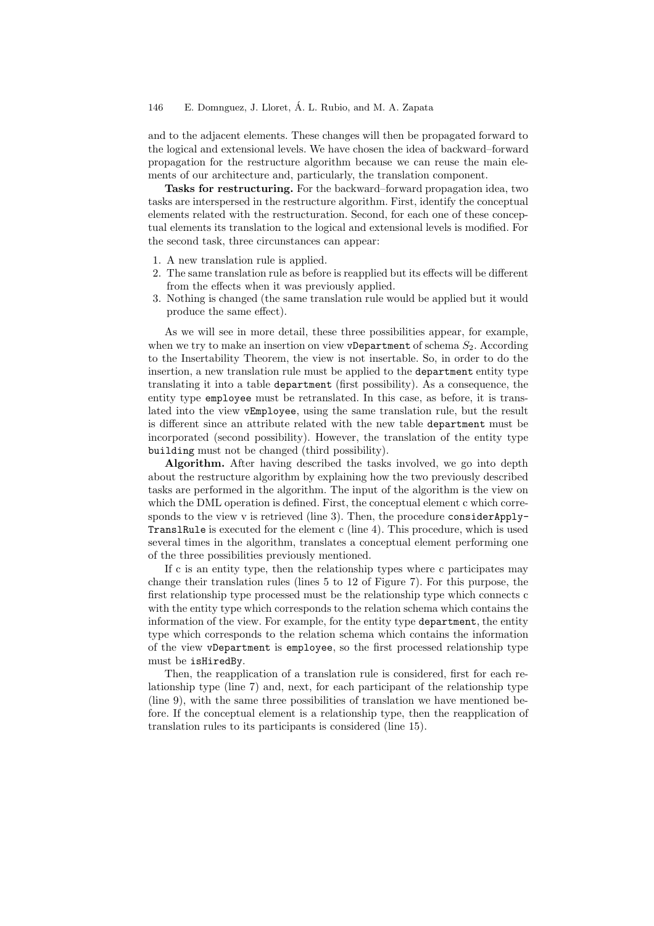and to the adjacent elements. These changes will then be propagated forward to the logical and extensional levels. We have chosen the idea of backward–forward propagation for the restructure algorithm because we can reuse the main elements of our architecture and, particularly, the translation component.

Tasks for restructuring. For the backward–forward propagation idea, two tasks are interspersed in the restructure algorithm. First, identify the conceptual elements related with the restructuration. Second, for each one of these conceptual elements its translation to the logical and extensional levels is modified. For the second task, three circunstances can appear:

- 1. A new translation rule is applied.
- 2. The same translation rule as before is reapplied but its effects will be different from the effects when it was previously applied.
- 3. Nothing is changed (the same translation rule would be applied but it would produce the same effect).

As we will see in more detail, these three possibilities appear, for example, when we try to make an insertion on view vDepartment of schema  $S_2$ . According to the Insertability Theorem, the view is not insertable. So, in order to do the insertion, a new translation rule must be applied to the department entity type translating it into a table department (first possibility). As a consequence, the entity type employee must be retranslated. In this case, as before, it is translated into the view vEmployee, using the same translation rule, but the result is different since an attribute related with the new table department must be incorporated (second possibility). However, the translation of the entity type building must not be changed (third possibility).

Algorithm. After having described the tasks involved, we go into depth about the restructure algorithm by explaining how the two previously described tasks are performed in the algorithm. The input of the algorithm is the view on which the DML operation is defined. First, the conceptual element c which corresponds to the view v is retrieved (line 3). Then, the procedure consider Apply-TranslRule is executed for the element c (line 4). This procedure, which is used several times in the algorithm, translates a conceptual element performing one of the three possibilities previously mentioned.

If c is an entity type, then the relationship types where c participates may change their translation rules (lines 5 to 12 of Figure 7). For this purpose, the first relationship type processed must be the relationship type which connects c with the entity type which corresponds to the relation schema which contains the information of the view. For example, for the entity type department, the entity type which corresponds to the relation schema which contains the information of the view vDepartment is employee, so the first processed relationship type must be isHiredBy.

Then, the reapplication of a translation rule is considered, first for each relationship type (line 7) and, next, for each participant of the relationship type (line 9), with the same three possibilities of translation we have mentioned before. If the conceptual element is a relationship type, then the reapplication of translation rules to its participants is considered (line 15).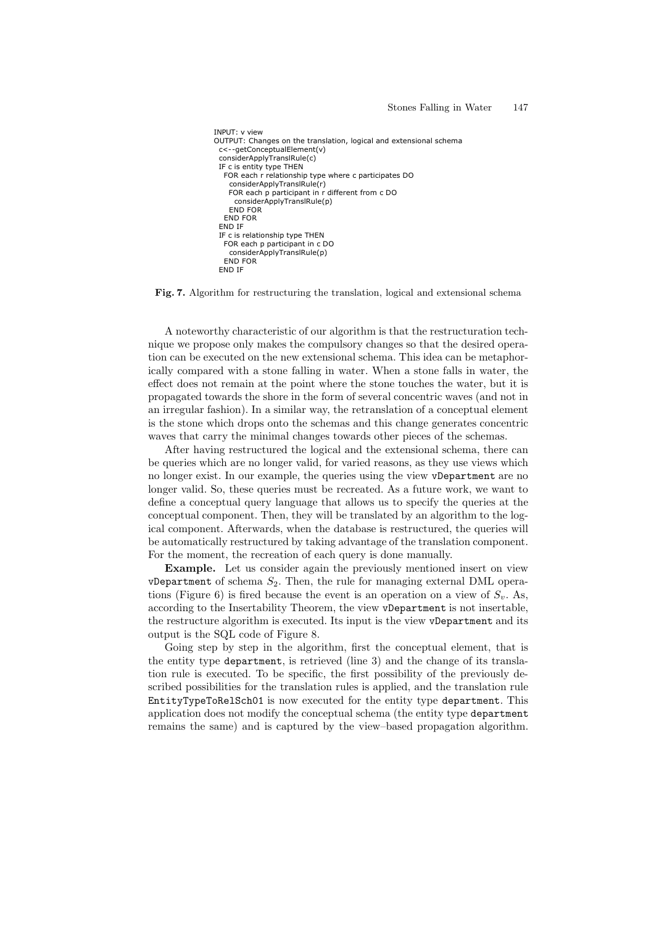```
INPUT: v view
OUTPUT: Changes on the translation, logical and extensional schema
 c<--getConceptualElement(v)
 considerApplyTranslRule(c)
  IF c is entity type THEN
   FOR each r relationship type where c participates DO
    considerApplyTranslRule(r)
    FOR each p participant in r different from c DO
     considerApplyTranslRule(p)
     END FOR
   END FOR
  END IF
 IF c is relationship type THEN
   FOR each p participant in c DO
    considerApplyTranslRule(p)
   END FOR
  END IF
```
Fig. 7. Algorithm for restructuring the translation, logical and extensional schema

A noteworthy characteristic of our algorithm is that the restructuration technique we propose only makes the compulsory changes so that the desired operation can be executed on the new extensional schema. This idea can be metaphorically compared with a stone falling in water. When a stone falls in water, the effect does not remain at the point where the stone touches the water, but it is propagated towards the shore in the form of several concentric waves (and not in an irregular fashion). In a similar way, the retranslation of a conceptual element is the stone which drops onto the schemas and this change generates concentric waves that carry the minimal changes towards other pieces of the schemas.

After having restructured the logical and the extensional schema, there can be queries which are no longer valid, for varied reasons, as they use views which no longer exist. In our example, the queries using the view vDepartment are no longer valid. So, these queries must be recreated. As a future work, we want to define a conceptual query language that allows us to specify the queries at the conceptual component. Then, they will be translated by an algorithm to the logical component. Afterwards, when the database is restructured, the queries will be automatically restructured by taking advantage of the translation component. For the moment, the recreation of each query is done manually.

Example. Let us consider again the previously mentioned insert on view vDepartment of schema  $S_2$ . Then, the rule for managing external DML operations (Figure 6) is fired because the event is an operation on a view of  $S_v$ . As, according to the Insertability Theorem, the view vDepartment is not insertable, the restructure algorithm is executed. Its input is the view vDepartment and its output is the SQL code of Figure 8.

Going step by step in the algorithm, first the conceptual element, that is the entity type department, is retrieved (line 3) and the change of its translation rule is executed. To be specific, the first possibility of the previously described possibilities for the translation rules is applied, and the translation rule EntityTypeToRelSch01 is now executed for the entity type department. This application does not modify the conceptual schema (the entity type department remains the same) and is captured by the view–based propagation algorithm.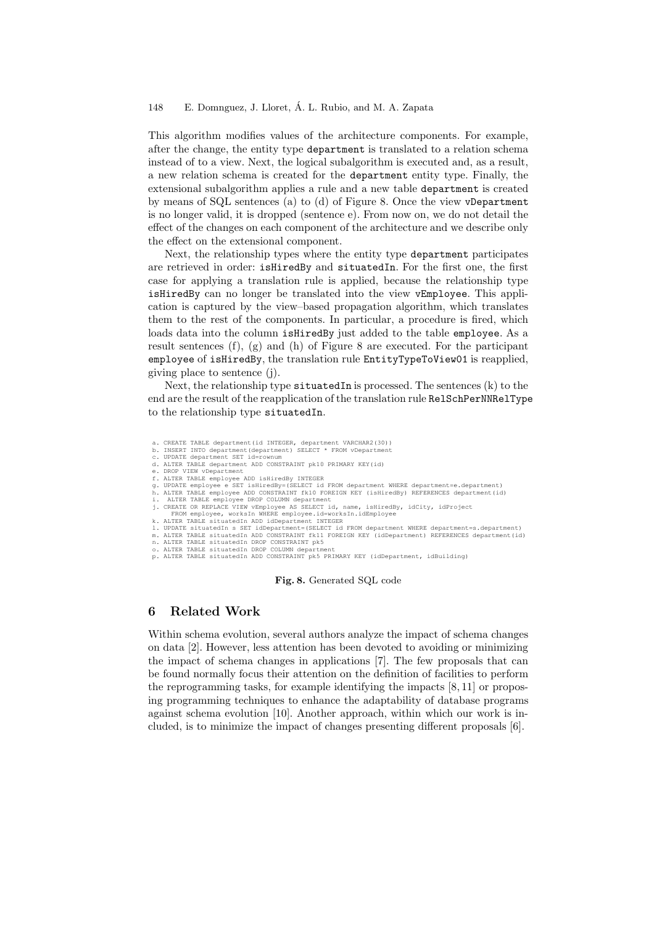This algorithm modifies values of the architecture components. For example, after the change, the entity type department is translated to a relation schema instead of to a view. Next, the logical subalgorithm is executed and, as a result, a new relation schema is created for the department entity type. Finally, the extensional subalgorithm applies a rule and a new table department is created by means of SQL sentences (a) to (d) of Figure 8. Once the view vDepartment is no longer valid, it is dropped (sentence e). From now on, we do not detail the effect of the changes on each component of the architecture and we describe only the effect on the extensional component.

Next, the relationship types where the entity type department participates are retrieved in order: isHiredBy and situatedIn. For the first one, the first case for applying a translation rule is applied, because the relationship type isHiredBy can no longer be translated into the view vEmployee. This application is captured by the view–based propagation algorithm, which translates them to the rest of the components. In particular, a procedure is fired, which loads data into the column isHiredBy just added to the table employee. As a result sentences (f), (g) and (h) of Figure 8 are executed. For the participant employee of isHiredBy, the translation rule EntityTypeToView01 is reapplied, giving place to sentence (j).

Next, the relationship type  $s$  ituatedIn is processed. The sentences  $(k)$  to the end are the result of the reapplication of the translation rule RelSchPerNNRelType to the relationship type situatedIn.

a. CREATE TABLE department(id INTEGER, department VARCHAR2(30)) b. INSERT INTO department(department) SELECT \* FROM vDepartment c. UPDATE department SET id=rownum d. ALTER TABLE department ADD CONSTRAINT pk10 PRIMARY KEY(id) e. DROP VIEW vDepartment f. ALTER TABLE employee ADD isHiredBy INTEGER<br>g. UPDATE employee e SET isHiredBy=(SELECT id FROM department WHERE department=e.department) h. ALTER TABLE employee ADD CONSTRAINT fk10 FOREIGN KEY (isHiredBy) REFERENCES department(id) i. ALTER TABLE employee DROP COLUMN department j. CREATE OR REPLACE VIEW vEmployee AS SELECT id, name, isHiredBy, idCity, idProject FROM employee, worksIn WHERE employee.id=worksIn.idEmployee k. ALTER TABLE situatedIn ADD idDepartment INTEGER l. UPDATE situatedIn s SET idDepartment=(SELECT id FROM department WHERE department=s.department) m. ALTER TABLE situatedIn ADD CONSTRAINT fk11 FOREIGN KEY (idDepartment) REFERENCES department(id) n. ALTER TABLE situatedIn DROP CONSTRAINT pk5 o. ALTER TABLE situatedIn DROP COLUMN department

p. ALTER TABLE situatedIn ADD CONSTRAINT pk5 PRIMARY KEY (idDepartment, idBuilding)

Fig. 8. Generated SQL code

## 6 Related Work

Within schema evolution, several authors analyze the impact of schema changes on data [2]. However, less attention has been devoted to avoiding or minimizing the impact of schema changes in applications [7]. The few proposals that can be found normally focus their attention on the definition of facilities to perform the reprogramming tasks, for example identifying the impacts [8, 11] or proposing programming techniques to enhance the adaptability of database programs against schema evolution [10]. Another approach, within which our work is included, is to minimize the impact of changes presenting different proposals [6].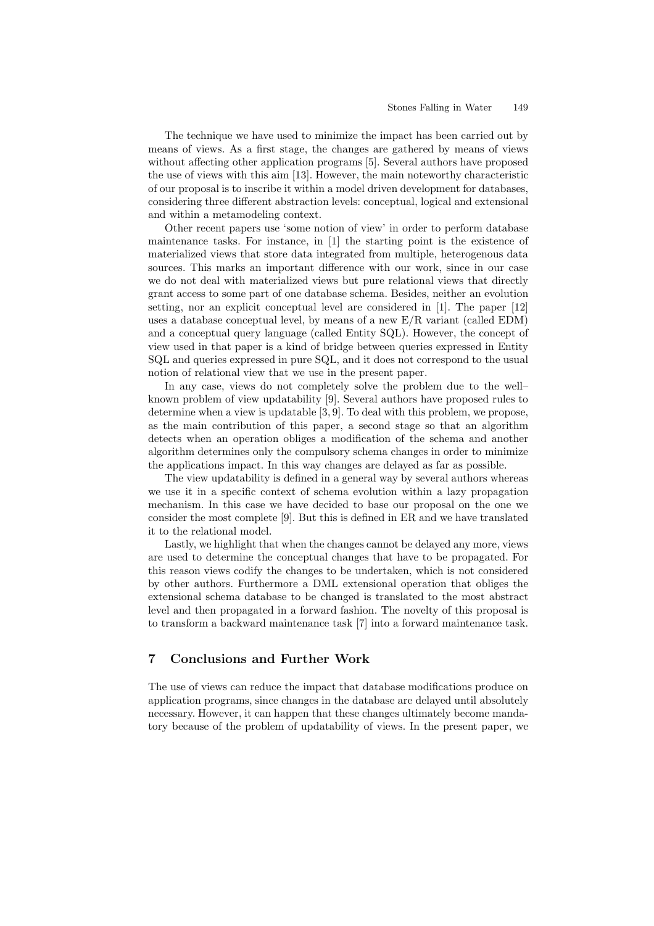The technique we have used to minimize the impact has been carried out by means of views. As a first stage, the changes are gathered by means of views without affecting other application programs [5]. Several authors have proposed the use of views with this aim [13]. However, the main noteworthy characteristic of our proposal is to inscribe it within a model driven development for databases, considering three different abstraction levels: conceptual, logical and extensional and within a metamodeling context.

Other recent papers use 'some notion of view' in order to perform database maintenance tasks. For instance, in [1] the starting point is the existence of materialized views that store data integrated from multiple, heterogenous data sources. This marks an important difference with our work, since in our case we do not deal with materialized views but pure relational views that directly grant access to some part of one database schema. Besides, neither an evolution setting, nor an explicit conceptual level are considered in [1]. The paper [12] uses a database conceptual level, by means of a new E/R variant (called EDM) and a conceptual query language (called Entity SQL). However, the concept of view used in that paper is a kind of bridge between queries expressed in Entity SQL and queries expressed in pure SQL, and it does not correspond to the usual notion of relational view that we use in the present paper.

In any case, views do not completely solve the problem due to the well– known problem of view updatability [9]. Several authors have proposed rules to determine when a view is updatable [3, 9]. To deal with this problem, we propose, as the main contribution of this paper, a second stage so that an algorithm detects when an operation obliges a modification of the schema and another algorithm determines only the compulsory schema changes in order to minimize the applications impact. In this way changes are delayed as far as possible.

The view updatability is defined in a general way by several authors whereas we use it in a specific context of schema evolution within a lazy propagation mechanism. In this case we have decided to base our proposal on the one we consider the most complete [9]. But this is defined in ER and we have translated it to the relational model.

Lastly, we highlight that when the changes cannot be delayed any more, views are used to determine the conceptual changes that have to be propagated. For this reason views codify the changes to be undertaken, which is not considered by other authors. Furthermore a DML extensional operation that obliges the extensional schema database to be changed is translated to the most abstract level and then propagated in a forward fashion. The novelty of this proposal is to transform a backward maintenance task [7] into a forward maintenance task.

# 7 Conclusions and Further Work

The use of views can reduce the impact that database modifications produce on application programs, since changes in the database are delayed until absolutely necessary. However, it can happen that these changes ultimately become mandatory because of the problem of updatability of views. In the present paper, we